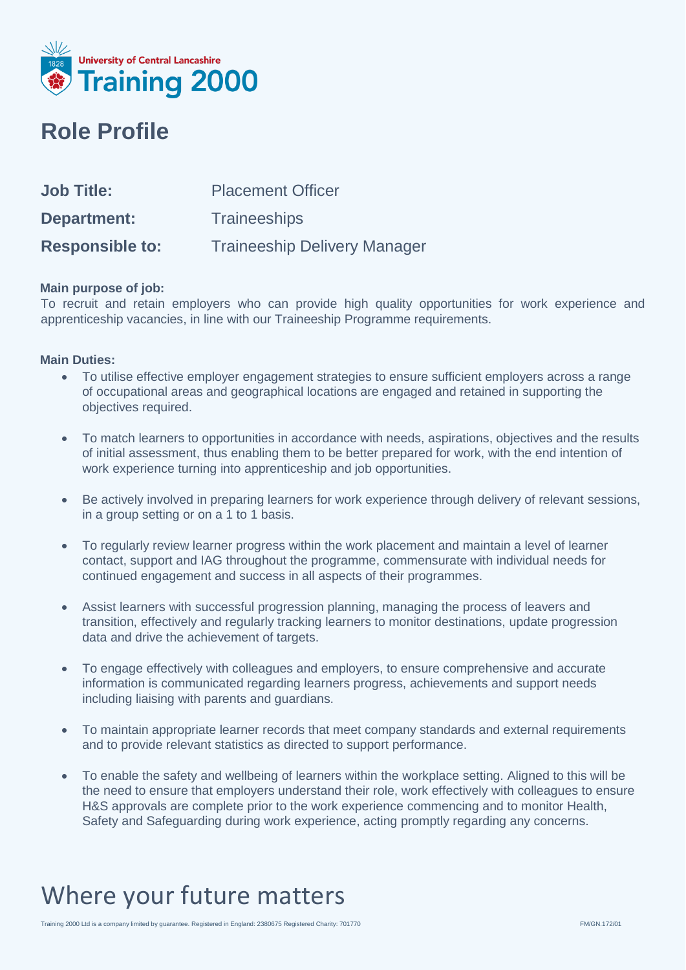

### **Role Profile**

| <b>Job Title:</b>      | <b>Placement Officer</b>            |
|------------------------|-------------------------------------|
| Department:            | <b>Traineeships</b>                 |
| <b>Responsible to:</b> | <b>Traineeship Delivery Manager</b> |

#### **Main purpose of job:**

To recruit and retain employers who can provide high quality opportunities for work experience and apprenticeship vacancies, in line with our Traineeship Programme requirements.

#### **Main Duties:**

- To utilise effective employer engagement strategies to ensure sufficient employers across a range of occupational areas and geographical locations are engaged and retained in supporting the objectives required.
- To match learners to opportunities in accordance with needs, aspirations, objectives and the results of initial assessment, thus enabling them to be better prepared for work, with the end intention of work experience turning into apprenticeship and job opportunities.
- Be actively involved in preparing learners for work experience through delivery of relevant sessions, in a group setting or on a 1 to 1 basis.
- To regularly review learner progress within the work placement and maintain a level of learner contact, support and IAG throughout the programme, commensurate with individual needs for continued engagement and success in all aspects of their programmes.
- Assist learners with successful progression planning, managing the process of leavers and transition, effectively and regularly tracking learners to monitor destinations, update progression data and drive the achievement of targets.
- To engage effectively with colleagues and employers, to ensure comprehensive and accurate information is communicated regarding learners progress, achievements and support needs including liaising with parents and guardians.
- To maintain appropriate learner records that meet company standards and external requirements and to provide relevant statistics as directed to support performance.
- To enable the safety and wellbeing of learners within the workplace setting. Aligned to this will be the need to ensure that employers understand their role, work effectively with colleagues to ensure H&S approvals are complete prior to the work experience commencing and to monitor Health, Safety and Safeguarding during work experience, acting promptly regarding any concerns.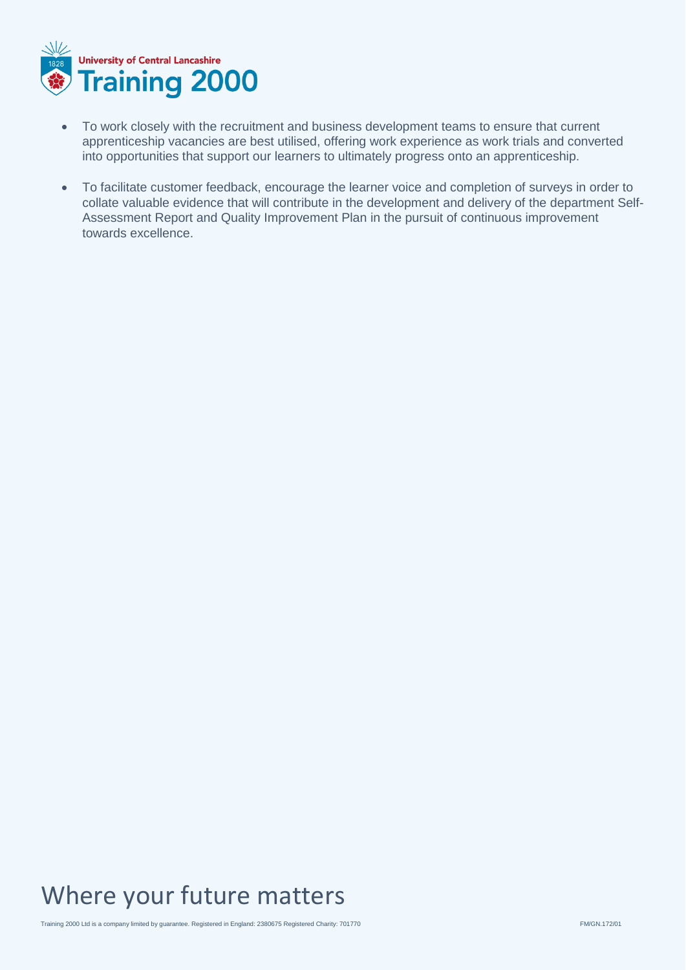

- To work closely with the recruitment and business development teams to ensure that current apprenticeship vacancies are best utilised, offering work experience as work trials and converted into opportunities that support our learners to ultimately progress onto an apprenticeship.
- To facilitate customer feedback, encourage the learner voice and completion of surveys in order to collate valuable evidence that will contribute in the development and delivery of the department Self-Assessment Report and Quality Improvement Plan in the pursuit of continuous improvement towards excellence.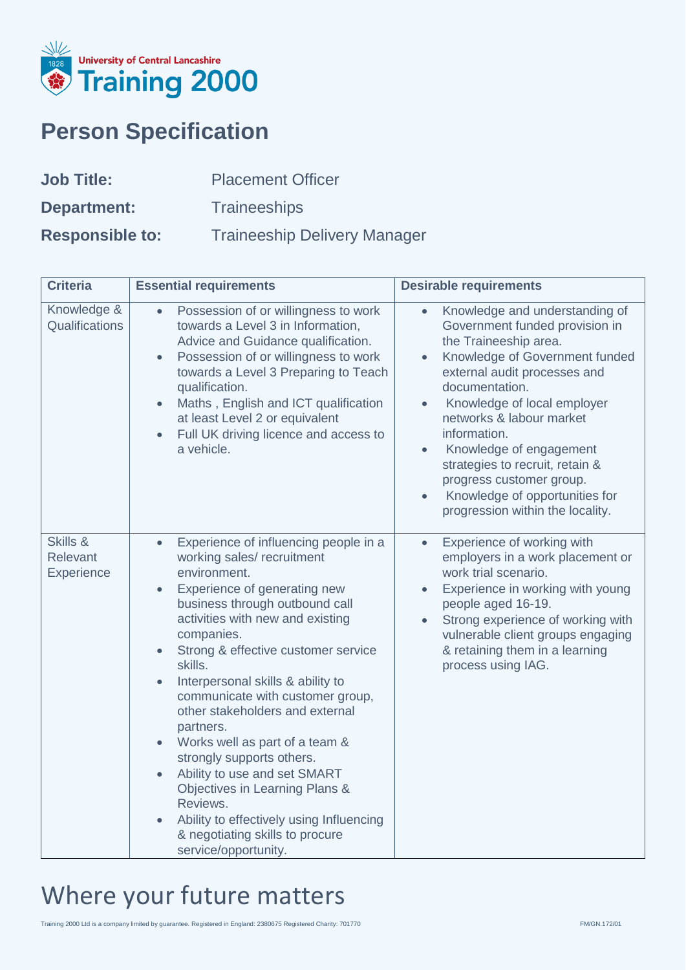

# **Person Specification**

| <b>Job Title:</b>      | <b>Placement Officer</b>            |
|------------------------|-------------------------------------|
| Department:            | <b>Traineeships</b>                 |
| <b>Responsible to:</b> | <b>Traineeship Delivery Manager</b> |

| <b>Criteria</b>                    | <b>Essential requirements</b>                                                                                                                                                                                                                                                                                                                                                                                                                                                                                                                                                                                                                       | <b>Desirable requirements</b>                                                                                                                                                                                                                                                                                                                                                                                                                                                             |
|------------------------------------|-----------------------------------------------------------------------------------------------------------------------------------------------------------------------------------------------------------------------------------------------------------------------------------------------------------------------------------------------------------------------------------------------------------------------------------------------------------------------------------------------------------------------------------------------------------------------------------------------------------------------------------------------------|-------------------------------------------------------------------------------------------------------------------------------------------------------------------------------------------------------------------------------------------------------------------------------------------------------------------------------------------------------------------------------------------------------------------------------------------------------------------------------------------|
| Knowledge &<br>Qualifications      | Possession of or willingness to work<br>towards a Level 3 in Information,<br>Advice and Guidance qualification.<br>Possession of or willingness to work<br>$\bullet$<br>towards a Level 3 Preparing to Teach<br>qualification.<br>Maths, English and ICT qualification<br>at least Level 2 or equivalent<br>Full UK driving licence and access to<br>a vehicle.                                                                                                                                                                                                                                                                                     | Knowledge and understanding of<br>$\bullet$<br>Government funded provision in<br>the Traineeship area.<br>Knowledge of Government funded<br>$\bullet$<br>external audit processes and<br>documentation.<br>Knowledge of local employer<br>$\bullet$<br>networks & labour market<br>information.<br>Knowledge of engagement<br>$\bullet$<br>strategies to recruit, retain &<br>progress customer group.<br>Knowledge of opportunities for<br>$\bullet$<br>progression within the locality. |
| Skills &<br>Relevant<br>Experience | Experience of influencing people in a<br>$\bullet$<br>working sales/ recruitment<br>environment.<br>Experience of generating new<br>business through outbound call<br>activities with new and existing<br>companies.<br>Strong & effective customer service<br>skills.<br>Interpersonal skills & ability to<br>communicate with customer group,<br>other stakeholders and external<br>partners.<br>Works well as part of a team &<br>strongly supports others.<br>Ability to use and set SMART<br>Objectives in Learning Plans &<br>Reviews.<br>Ability to effectively using Influencing<br>& negotiating skills to procure<br>service/opportunity. | Experience of working with<br>$\bullet$<br>employers in a work placement or<br>work trial scenario.<br>Experience in working with young<br>people aged 16-19.<br>Strong experience of working with<br>vulnerable client groups engaging<br>& retaining them in a learning<br>process using IAG.                                                                                                                                                                                           |